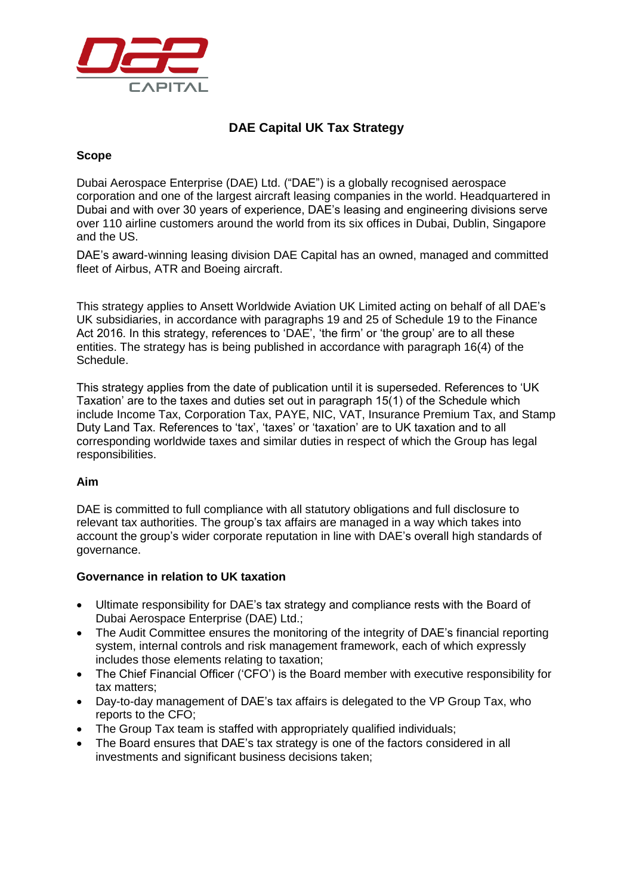

# **DAE Capital UK Tax Strategy**

# **Scope**

Dubai Aerospace Enterprise (DAE) Ltd. ("DAE") is a globally recognised aerospace corporation and one of the largest aircraft leasing companies in the world. Headquartered in Dubai and with over 30 years of experience, DAE's leasing and engineering divisions serve over 110 airline customers around the world from its six offices in Dubai, Dublin, Singapore and the US.

DAE's award-winning leasing division DAE Capital has an owned, managed and committed fleet of Airbus, ATR and Boeing aircraft.

This strategy applies to Ansett Worldwide Aviation UK Limited acting on behalf of all DAE's UK subsidiaries, in accordance with paragraphs 19 and 25 of Schedule 19 to the Finance Act 2016. In this strategy, references to 'DAE', 'the firm' or 'the group' are to all these entities. The strategy has is being published in accordance with paragraph 16(4) of the Schedule.

This strategy applies from the date of publication until it is superseded. References to 'UK Taxation' are to the taxes and duties set out in paragraph 15(1) of the Schedule which include Income Tax, Corporation Tax, PAYE, NIC, VAT, Insurance Premium Tax, and Stamp Duty Land Tax. References to 'tax', 'taxes' or 'taxation' are to UK taxation and to all corresponding worldwide taxes and similar duties in respect of which the Group has legal responsibilities.

## **Aim**

DAE is committed to full compliance with all statutory obligations and full disclosure to relevant tax authorities. The group's tax affairs are managed in a way which takes into account the group's wider corporate reputation in line with DAE's overall high standards of governance.

## **Governance in relation to UK taxation**

- Ultimate responsibility for DAE's tax strategy and compliance rests with the Board of Dubai Aerospace Enterprise (DAE) Ltd.;
- The Audit Committee ensures the monitoring of the integrity of DAE's financial reporting system, internal controls and risk management framework, each of which expressly includes those elements relating to taxation;
- The Chief Financial Officer ('CFO') is the Board member with executive responsibility for tax matters;
- Day-to-day management of DAE's tax affairs is delegated to the VP Group Tax, who reports to the CFO;
- The Group Tax team is staffed with appropriately qualified individuals;
- The Board ensures that DAE's tax strategy is one of the factors considered in all investments and significant business decisions taken;